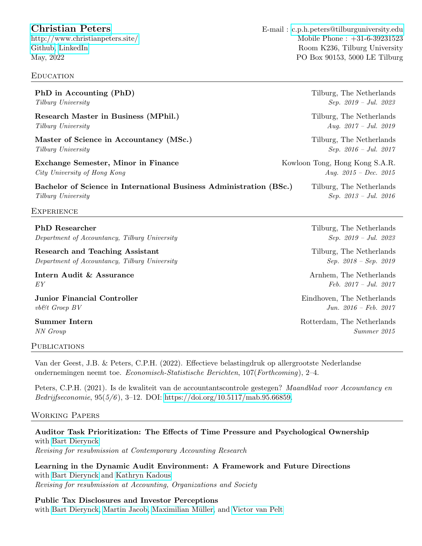[Christian Peters](http://christianpeters.site/) E-mail : [c.p.h.peters@tilburguniversity.edu](mailto:c.p.h.peters@tilburguniversity.edu) [http://www.christianpeters.site/](http://christianpeters.site/) Mobile Phone : +31-6-39231523 [Github,](http://github.com/cphpeters) [LinkedIn](https://www.linkedin.com/in/peterschristian/) Room K236, Tilburg University May, 2022 PO Box 90153, 5000 LE Tilburg

# **EDUCATION**

| PhD in Accounting (PhD)                                             | Tilburg, The Netherlands       |
|---------------------------------------------------------------------|--------------------------------|
| Tilburg University                                                  | $Sep. 2019 - Jul. 2023$        |
| Research Master in Business (MPhil.)                                | Tilburg, The Netherlands       |
| Tilburg University                                                  | Aug. $2017 - Jul.$ 2019        |
| Master of Science in Accountancy (MSc.)                             | Tilburg, The Netherlands       |
| Tilburg University                                                  | $Sep. 2016 - Jul. 2017$        |
| Exchange Semester, Minor in Finance                                 | Kowloon Tong, Hong Kong S.A.R. |
| City University of Hong Kong                                        | Aug. $2015 - Dec.$ 2015        |
| Bachelor of Science in International Business Administration (BSc.) | Tilburg, The Netherlands       |
| Tilburg University                                                  | $Sep. 2013 - Jul. 2016$        |
| <b>EXPERIENCE</b>                                                   |                                |
|                                                                     |                                |

PhD Researcher Tilburg, The Netherlands Department of Accountancy, Tilburg University Sep. 2019 – Jul. 2023

Research and Teaching Assistant Tilburg, The Netherlands Department of Accountancy, Tilburg University Sep. 2018 – Sep. 2018 – Sep. 2019

Intern Audit & Assurance **Armed Arnhem**, The Netherlands  $EY$  Feb. 2017 – Jul. 2017

**Junior Financial Controller** Eindhoven, The Netherlands  $v\&t$  Groep BV Jun. 2016 – Feb. 2017

#### PUBLICATIONS

Van der Geest, J.B. & Peters, C.P.H. (2022). Effectieve belastingdruk op allergrootste Nederlandse ondernemingen neemt toe. Economisch-Statistische Berichten, 107(Forthcoming), 2–4.

Peters, C.P.H. (2021). Is de kwaliteit van de accountantscontrole gestegen? Maandblad voor Accountancy en Bedrijfseconomie, 95(5/6 ), 3–12. DOI: [https://doi.org/10.5117/mab.95.66859.](https://doi.org/10.5117/mab.95.66859)

# Working Papers

# Auditor Task Prioritization: The Effects of Time Pressure and Psychological Ownership with [Bart Dierynck](https://www.tilburguniversity.edu/webwijs/show/b.dierynck.htm)

Revising for resubmission at Contemporary Accounting Research

Learning in the Dynamic Audit Environment: A Framework and Future Directions with [Bart Dierynck](https://www.tilburguniversity.edu/webwijs/show/b.dierynck.htm) and [Kathryn Kadous](https://goizueta.emory.edu/faculty/profiles/kathryn-kadous) Revising for resubmission at Accounting, Organizations and Society

Public Tax Disclosures and Investor Perceptions

with [Bart Dierynck,](https://www.tilburguniversity.edu/webwijs/show/b.dierynck.htm) [Martin Jacob,](https://www.whu.edu/en/faculty-research/finance-and-accounting-group/business-taxation/team/prof-dr-martin-jacob/) Maximilian Müller, and [Victor van Pelt](https://www.whu.edu/en/faculty-research/management-group/institute-of-management-accounting-and-control/team/cv/victor-van-pelt/)

Summer Intern Rotterdam, The Netherlands NN Group Summer 2015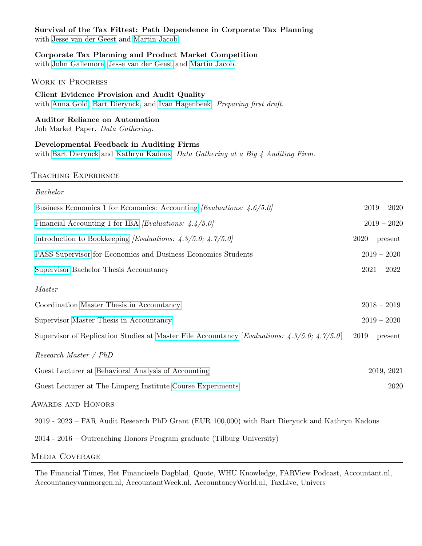# Survival of the Tax Fittest: Path Dependence in Corporate Tax Planning

with [Jesse van der Geest](https://www.tilburguniversity.edu/staff/j-b-vdrgeest) and [Martin Jacob.](https://www.whu.edu/en/faculty-research/finance-and-accounting-group/business-taxation/team/prof-dr-martin-jacob/)

# Corporate Tax Planning and Product Market Competition

with [John Gallemore,](https://www.johngallemore.com/) [Jesse van der Geest](https://www.tilburguniversity.edu/staff/j-b-vdrgeest) and [Martin Jacob.](https://www.whu.edu/en/faculty-research/finance-and-accounting-group/business-taxation/team/prof-dr-martin-jacob/)

# Work in Progress

# Client Evidence Provision and Audit Quality

with [Anna Gold,](https://research.vu.nl/en/persons/anna-gold) [Bart Dierynck,](https://www.tilburguniversity.edu/webwijs/show/b.dierynck.htm) and [Ivan Hagenbeek.](https://research.vu.nl/en/persons/ivan-hagenbeek) Preparing first draft.

Auditor Reliance on Automation Job Market Paper. Data Gathering.

Developmental Feedback in Auditing Firms with [Bart Dierynck](https://www.tilburguniversity.edu/webwijs/show/b.dierynck.htm) and [Kathryn Kadous.](https://goizueta.emory.edu/faculty/profiles/kathryn-kadous) Data Gathering at a Big 4 Auditing Firm.

#### Teaching Experience

| Bachelor                                                                                           |                  |
|----------------------------------------------------------------------------------------------------|------------------|
| Business Economics 1 for Economics: Accounting <i>[Evaluations: 4.6/5.0]</i>                       | $2019 - 2020$    |
| Financial Accounting 1 for IBA <i>[Evaluations: 4.4/5.0]</i>                                       | $2019 - 2020$    |
| Introduction to Bookkeeping <i>[Evaluations: 4.3/5.0; 4.7/5.0]</i>                                 | $2020$ – present |
| PASS-Supervisor for Economics and Business Economics Students                                      | $2019 - 2020$    |
| Supervisor Bachelor Thesis Accountancy                                                             | $2021 - 2022$    |
| <i>Master</i>                                                                                      |                  |
| Coordination Master Thesis in Accountancy                                                          | $2018 - 2019$    |
| Supervisor Master Thesis in Accountancy                                                            | $2019 - 2020$    |
| Supervisor of Replication Studies at Master File Accountancy [Evaluations: $4.3/5.0$ ; $4.7/5.0$ ] | $2019$ – present |
| Research Master / PhD                                                                              |                  |
| Guest Lecturer at Behavioral Analysis of Accounting                                                | 2019, 2021       |
| Guest Lecturer at The Limperg Institute Course Experiments                                         | 2020             |
| AWARDS AND HONORS                                                                                  |                  |

2019 - 2023 – FAR Audit Research PhD Grant (EUR 100,000) with Bart Dierynck and Kathryn Kadous

2014 - 2016 – Outreaching Honors Program graduate (Tilburg University)

# Media Coverage

The Financial Times, Het Financieele Dagblad, Quote, WHU Knowledge, FARView Podcast, Accountant.nl, Accountancyvanmorgen.nl, AccountantWeek.nl, AccountancyWorld.nl, TaxLive, Univers